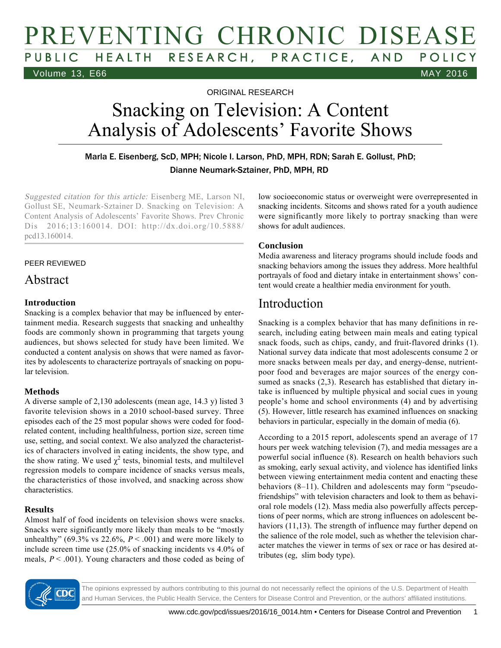# PREVENTING CHRONIC DISEASE PUBLIC HEALTH RESEARCH, PRACTICE, AND POLICY Volume 13, E66 MAY 2016

ORIGINAL RESEARCH

# Snacking on Television: A Content Analysis of Adolescents' Favorite Shows

Marla E. Eisenberg, ScD, MPH; Nicole I. Larson, PhD, MPH, RDN; Sarah E. Gollust, PhD; Dianne Neumark-Sztainer, PhD, MPH, RD

Suggested citation for this article: Eisenberg ME, Larson NI, Gollust SE, Neumark-Sztainer D. Snacking on Television: A Content Analysis of Adolescents' Favorite Shows. Prev Chronic Dis 2016;13:160014. DOI: http://dx.doi.org/10.5888/ pcd13.160014.

### PEER REVIEWED

### Abstract

### **Introduction**

Snacking is a complex behavior that may be influenced by entertainment media. Research suggests that snacking and unhealthy foods are commonly shown in programming that targets young audiences, but shows selected for study have been limited. We conducted a content analysis on shows that were named as favorites by adolescents to characterize portrayals of snacking on popular television.

### **Methods**

A diverse sample of 2,130 adolescents (mean age, 14.3 y) listed 3 favorite television shows in a 2010 school-based survey. Three episodes each of the 25 most popular shows were coded for foodrelated content, including healthfulness, portion size, screen time use, setting, and social context. We also analyzed the characteristics of characters involved in eating incidents, the show type, and the show rating. We used  $\chi^2$  tests, binomial tests, and multilevel regression models to compare incidence of snacks versus meals, the characteristics of those involved, and snacking across show characteristics.

### **Results**

Almost half of food incidents on television shows were snacks. Snacks were significantly more likely than meals to be "mostly unhealthy" (69.3% vs 22.6%,  $P < .001$ ) and were more likely to include screen time use (25.0% of snacking incidents vs 4.0% of meals,  $P < .001$ ). Young characters and those coded as being of low socioeconomic status or overweight were overrepresented in snacking incidents. Sitcoms and shows rated for a youth audience were significantly more likely to portray snacking than were shows for adult audiences.

### **Conclusion**

Media awareness and literacy programs should include foods and snacking behaviors among the issues they address. More healthful portrayals of food and dietary intake in entertainment shows' content would create a healthier media environment for youth.

## **Introduction**

Snacking is a complex behavior that has many definitions in research, including eating between main meals and eating typical snack foods, such as chips, candy, and fruit-flavored drinks (1). National survey data indicate that most adolescents consume 2 or more snacks between meals per day, and energy-dense, nutrientpoor food and beverages are major sources of the energy consumed as snacks (2,3). Research has established that dietary intake is influenced by multiple physical and social cues in young people's home and school environments (4) and by advertising (5). However, little research has examined influences on snacking behaviors in particular, especially in the domain of media (6).

According to a 2015 report, adolescents spend an average of 17 hours per week watching television (7), and media messages are a powerful social influence (8). Research on health behaviors such as smoking, early sexual activity, and violence has identified links between viewing entertainment media content and enacting these behaviors (8–11). Children and adolescents may form "pseudofriendships" with television characters and look to them as behavioral role models (12). Mass media also powerfully affects perceptions of peer norms, which are strong influences on adolescent behaviors (11,13). The strength of influence may further depend on the salience of the role model, such as whether the television character matches the viewer in terms of sex or race or has desired attributes (eg, slim body type).

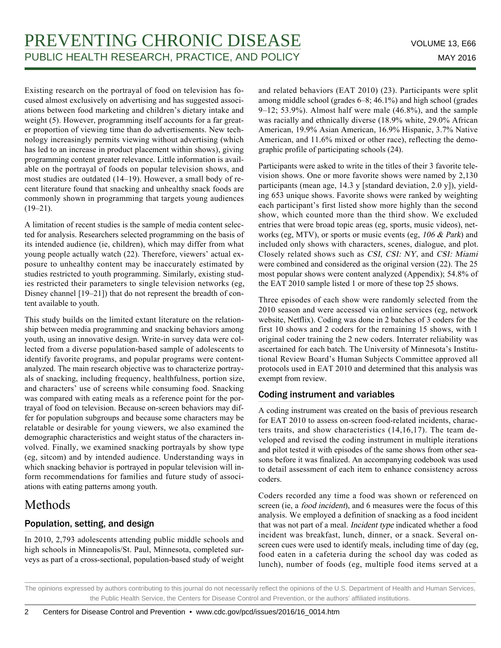Existing research on the portrayal of food on television has focused almost exclusively on advertising and has suggested associations between food marketing and children's dietary intake and weight (5). However, programming itself accounts for a far greater proportion of viewing time than do advertisements. New technology increasingly permits viewing without advertising (which has led to an increase in product placement within shows), giving programming content greater relevance. Little information is available on the portrayal of foods on popular television shows, and most studies are outdated (14–19). However, a small body of recent literature found that snacking and unhealthy snack foods are commonly shown in programming that targets young audiences  $(19-21)$ .

A limitation of recent studies is the sample of media content selected for analysis. Researchers selected programming on the basis of its intended audience (ie, children), which may differ from what young people actually watch (22). Therefore, viewers' actual exposure to unhealthy content may be inaccurately estimated by studies restricted to youth programming. Similarly, existing studies restricted their parameters to single television networks (eg, Disney channel [19–21]) that do not represent the breadth of content available to youth.

This study builds on the limited extant literature on the relationship between media programming and snacking behaviors among youth, using an innovative design. Write-in survey data were collected from a diverse population-based sample of adolescents to identify favorite programs, and popular programs were contentanalyzed. The main research objective was to characterize portrayals of snacking, including frequency, healthfulness, portion size, and characters' use of screens while consuming food. Snacking was compared with eating meals as a reference point for the portrayal of food on television. Because on-screen behaviors may differ for population subgroups and because some characters may be relatable or desirable for young viewers, we also examined the demographic characteristics and weight status of the characters involved. Finally, we examined snacking portrayals by show type (eg, sitcom) and by intended audience. Understanding ways in which snacking behavior is portrayed in popular television will inform recommendations for families and future study of associations with eating patterns among youth.

# Methods

### Population, setting, and design

In 2010, 2,793 adolescents attending public middle schools and high schools in Minneapolis/St. Paul, Minnesota, completed surveys as part of a cross-sectional, population-based study of weight and related behaviors (EAT 2010) (23). Participants were split among middle school (grades 6–8; 46.1%) and high school (grades 9–12; 53.9%). Almost half were male (46.8%), and the sample was racially and ethnically diverse (18.9% white, 29.0% African American, 19.9% Asian American, 16.9% Hispanic, 3.7% Native American, and 11.6% mixed or other race), reflecting the demographic profile of participating schools (24).

Participants were asked to write in the titles of their 3 favorite television shows. One or more favorite shows were named by 2,130 participants (mean age, 14.3 y [standard deviation, 2.0 y]), yielding 653 unique shows. Favorite shows were ranked by weighting each participant's first listed show more highly than the second show, which counted more than the third show. We excluded entries that were broad topic areas (eg, sports, music videos), networks (eg, MTV), or sports or music events (eg, 106 & Park) and included only shows with characters, scenes, dialogue, and plot. Closely related shows such as CSI, CSI: NY, and CSI: Miami were combined and considered as the original version (22). The 25 most popular shows were content analyzed (Appendix); 54.8% of the EAT 2010 sample listed 1 or more of these top 25 shows.

Three episodes of each show were randomly selected from the 2010 season and were accessed via online services (eg, network website, Netflix). Coding was done in 2 batches of 3 coders for the first 10 shows and 2 coders for the remaining 15 shows, with 1 original coder training the 2 new coders. Interrater reliability was ascertained for each batch. The University of Minnesota's Institutional Review Board's Human Subjects Committee approved all protocols used in EAT 2010 and determined that this analysis was exempt from review.

### Coding instrument and variables

A coding instrument was created on the basis of previous research for EAT 2010 to assess on-screen food-related incidents, characters traits, and show characteristics (14,16,17). The team developed and revised the coding instrument in multiple iterations and pilot tested it with episodes of the same shows from other seasons before it was finalized. An accompanying codebook was used to detail assessment of each item to enhance consistency across coders.

Coders recorded any time a food was shown or referenced on screen (ie, a *food incident*), and 6 measures were the focus of this analysis. We employed a definition of snacking as a food incident that was not part of a meal. Incident type indicated whether a food incident was breakfast, lunch, dinner, or a snack. Several onscreen cues were used to identify meals, including time of day (eg, food eaten in a cafeteria during the school day was coded as lunch), number of foods (eg, multiple food items served at a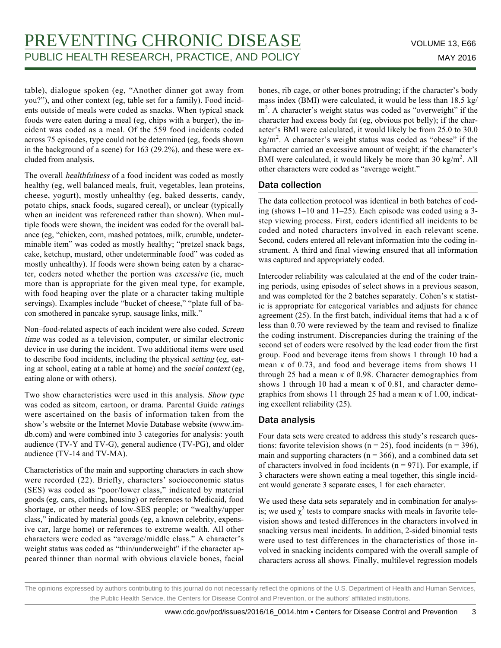table), dialogue spoken (eg, "Another dinner got away from you?"), and other context (eg, table set for a family). Food incidents outside of meals were coded as snacks. When typical snack foods were eaten during a meal (eg, chips with a burger), the incident was coded as a meal. Of the 559 food incidents coded across 75 episodes, type could not be determined (eg, foods shown in the background of a scene) for 163 (29.2%), and these were excluded from analysis.

The overall healthfulness of a food incident was coded as mostly healthy (eg, well balanced meals, fruit, vegetables, lean proteins, cheese, yogurt), mostly unhealthy (eg, baked desserts, candy, potato chips, snack foods, sugared cereal), or unclear (typically when an incident was referenced rather than shown). When multiple foods were shown, the incident was coded for the overall balance (eg, "chicken, corn, mashed potatoes, milk, crumble, undeterminable item" was coded as mostly healthy; "pretzel snack bags, cake, ketchup, mustard, other undeterminable food" was coded as mostly unhealthy). If foods were shown being eaten by a character, coders noted whether the portion was excessive (ie, much more than is appropriate for the given meal type, for example, with food heaping over the plate or a character taking multiple servings). Examples include "bucket of cheese," "plate full of bacon smothered in pancake syrup, sausage links, milk."

Non–food-related aspects of each incident were also coded. Screen time was coded as a television, computer, or similar electronic device in use during the incident. Two additional items were used to describe food incidents, including the physical setting (eg, eating at school, eating at a table at home) and the social context (eg, eating alone or with others).

Two show characteristics were used in this analysis. Show type was coded as sitcom, cartoon, or drama. Parental Guide ratings were ascertained on the basis of information taken from the show's website or the Internet Movie Database website (www.imdb.com) and were combined into 3 categories for analysis: youth audience (TV-Y and TV-G), general audience (TV-PG), and older audience (TV-14 and TV-MA).

Characteristics of the main and supporting characters in each show were recorded (22). Briefly, characters' socioeconomic status (SES) was coded as "poor/lower class," indicated by material goods (eg, cars, clothing, housing) or references to Medicaid, food shortage, or other needs of low-SES people; or "wealthy/upper class," indicated by material goods (eg, a known celebrity, expensive car, large home) or references to extreme wealth. All other characters were coded as "average/middle class." A character's weight status was coded as "thin/underweight" if the character appeared thinner than normal with obvious clavicle bones, facial

bones, rib cage, or other bones protruding; if the character's body mass index (BMI) were calculated, it would be less than 18.5 kg/ m<sup>2</sup>. A character's weight status was coded as "overweight" if the character had excess body fat (eg, obvious pot belly); if the character's BMI were calculated, it would likely be from 25.0 to 30.0  $\text{kg/m}^2$ . A character's weight status was coded as "obese" if the character carried an excessive amount of weight; if the character's BMI were calculated, it would likely be more than 30 kg/m<sup>2</sup>. All other characters were coded as "average weight."

### Data collection

The data collection protocol was identical in both batches of coding (shows 1–10 and 11–25). Each episode was coded using a 3 step viewing process. First, coders identified all incidents to be coded and noted characters involved in each relevant scene. Second, coders entered all relevant information into the coding instrument. A third and final viewing ensured that all information was captured and appropriately coded.

Intercoder reliability was calculated at the end of the coder training periods, using episodes of select shows in a previous season, and was completed for the 2 batches separately. Cohen's κ statistic is appropriate for categorical variables and adjusts for chance agreement (25). In the first batch, individual items that had a  $\kappa$  of less than 0.70 were reviewed by the team and revised to finalize the coding instrument. Discrepancies during the training of the second set of coders were resolved by the lead coder from the first group. Food and beverage items from shows 1 through 10 had a mean  $\kappa$  of 0.73, and food and beverage items from shows 11 through 25 had a mean κ of 0.98. Character demographics from shows 1 through 10 had a mean κ of 0.81, and character demographics from shows 11 through 25 had a mean κ of 1.00, indicating excellent reliability (25).

### Data analysis

Four data sets were created to address this study's research questions: favorite television shows ( $n = 25$ ), food incidents ( $n = 396$ ), main and supporting characters ( $n = 366$ ), and a combined data set of characters involved in food incidents ( $n = 971$ ). For example, if 3 characters were shown eating a meal together, this single incident would generate 3 separate cases, 1 for each character.

We used these data sets separately and in combination for analysis; we used  $\chi^2$  tests to compare snacks with meals in favorite television shows and tested differences in the characters involved in snacking versus meal incidents. In addition, 2-sided binomial tests were used to test differences in the characteristics of those involved in snacking incidents compared with the overall sample of characters across all shows. Finally, multilevel regression models

The opinions expressed by authors contributing to this journal do not necessarily reflect the opinions of the U.S. Department of Health and Human Services, the Public Health Service, the Centers for Disease Control and Prevention, or the authors' affiliated institutions.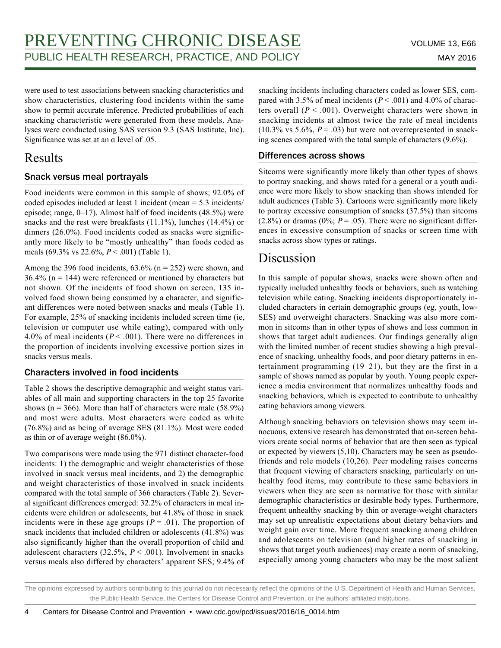were used to test associations between snacking characteristics and show characteristics, clustering food incidents within the same show to permit accurate inference. Predicted probabilities of each snacking characteristic were generated from these models. Analyses were conducted using SAS version 9.3 (SAS Institute, Inc). Significance was set at an ɑ level of .05.

### Results

### Snack versus meal portrayals

Food incidents were common in this sample of shows; 92.0% of coded episodes included at least 1 incident (mean = 5.3 incidents/ episode; range, 0–17). Almost half of food incidents (48.5%) were snacks and the rest were breakfasts (11.1%), lunches (14.4%) or dinners (26.0%). Food incidents coded as snacks were significantly more likely to be "mostly unhealthy" than foods coded as meals (69.3% vs 22.6%,  $P < .001$ ) (Table 1).

Among the 396 food incidents,  $63.6\%$  (n = 252) were shown, and  $36.4\%$  (n = 144) were referenced or mentioned by characters but not shown. Of the incidents of food shown on screen, 135 involved food shown being consumed by a character, and significant differences were noted between snacks and meals (Table 1). For example, 25% of snacking incidents included screen time (ie, television or computer use while eating), compared with only 4.0% of meal incidents ( $P < .001$ ). There were no differences in the proportion of incidents involving excessive portion sizes in snacks versus meals.

### Characters involved in food incidents

Table 2 shows the descriptive demographic and weight status variables of all main and supporting characters in the top 25 favorite shows ( $n = 366$ ). More than half of characters were male (58.9%) and most were adults. Most characters were coded as white (76.8%) and as being of average SES (81.1%). Most were coded as thin or of average weight (86.0%).

Two comparisons were made using the 971 distinct character-food incidents: 1) the demographic and weight characteristics of those involved in snack versus meal incidents, and 2) the demographic and weight characteristics of those involved in snack incidents compared with the total sample of 366 characters (Table 2). Several significant differences emerged: 32.2% of characters in meal incidents were children or adolescents, but 41.8% of those in snack incidents were in these age groups ( $P = .01$ ). The proportion of snack incidents that included children or adolescents (41.8%) was also significantly higher than the overall proportion of child and adolescent characters (32.5%,  $P < .001$ ). Involvement in snacks versus meals also differed by characters' apparent SES; 9.4% of snacking incidents including characters coded as lower SES, compared with 3.5% of meal incidents ( $P < .001$ ) and 4.0% of characters overall  $(P < .001)$ . Overweight characters were shown in snacking incidents at almost twice the rate of meal incidents  $(10.3\% \text{ vs } 5.6\%, P = .03)$  but were not overrepresented in snacking scenes compared with the total sample of characters (9.6%).

### Differences across shows

Sitcoms were significantly more likely than other types of shows to portray snacking, and shows rated for a general or a youth audience were more likely to show snacking than shows intended for adult audiences (Table 3). Cartoons were significantly more likely to portray excessive consumption of snacks (37.5%) than sitcoms (2.8%) or dramas (0%;  $P = .05$ ). There were no significant differences in excessive consumption of snacks or screen time with snacks across show types or ratings.

## Discussion

In this sample of popular shows, snacks were shown often and typically included unhealthy foods or behaviors, such as watching television while eating. Snacking incidents disproportionately included characters in certain demographic groups (eg, youth, low-SES) and overweight characters. Snacking was also more common in sitcoms than in other types of shows and less common in shows that target adult audiences. Our findings generally align with the limited number of recent studies showing a high prevalence of snacking, unhealthy foods, and poor dietary patterns in entertainment programming (19–21), but they are the first in a sample of shows named as popular by youth. Young people experience a media environment that normalizes unhealthy foods and snacking behaviors, which is expected to contribute to unhealthy eating behaviors among viewers.

Although snacking behaviors on television shows may seem innocuous, extensive research has demonstrated that on-screen behaviors create social norms of behavior that are then seen as typical or expected by viewers (5,10). Characters may be seen as pseudofriends and role models (10,26). Peer modeling raises concerns that frequent viewing of characters snacking, particularly on unhealthy food items, may contribute to these same behaviors in viewers when they are seen as normative for those with similar demographic characteristics or desirable body types. Furthermore, frequent unhealthy snacking by thin or average-weight characters may set up unrealistic expectations about dietary behaviors and weight gain over time. More frequent snacking among children and adolescents on television (and higher rates of snacking in shows that target youth audiences) may create a norm of snacking, especially among young characters who may be the most salient

The opinions expressed by authors contributing to this journal do not necessarily reflect the opinions of the U.S. Department of Health and Human Services, the Public Health Service, the Centers for Disease Control and Prevention, or the authors' affiliated institutions.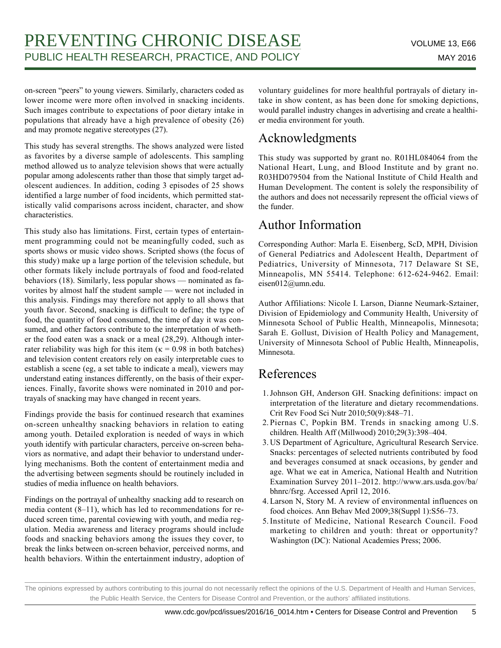on-screen "peers" to young viewers. Similarly, characters coded as lower income were more often involved in snacking incidents. Such images contribute to expectations of poor dietary intake in populations that already have a high prevalence of obesity (26) and may promote negative stereotypes (27).

This study has several strengths. The shows analyzed were listed as favorites by a diverse sample of adolescents. This sampling method allowed us to analyze television shows that were actually popular among adolescents rather than those that simply target adolescent audiences. In addition, coding 3 episodes of 25 shows identified a large number of food incidents, which permitted statistically valid comparisons across incident, character, and show characteristics.

This study also has limitations. First, certain types of entertainment programming could not be meaningfully coded, such as sports shows or music video shows. Scripted shows (the focus of this study) make up a large portion of the television schedule, but other formats likely include portrayals of food and food-related behaviors (18). Similarly, less popular shows — nominated as favorites by almost half the student sample — were not included in this analysis. Findings may therefore not apply to all shows that youth favor. Second, snacking is difficult to define; the type of food, the quantity of food consumed, the time of day it was consumed, and other factors contribute to the interpretation of whether the food eaten was a snack or a meal (28,29). Although interrater reliability was high for this item ( $\kappa = 0.98$  in both batches) and television content creators rely on easily interpretable cues to establish a scene (eg, a set table to indicate a meal), viewers may understand eating instances differently, on the basis of their experiences. Finally, favorite shows were nominated in 2010 and portrayals of snacking may have changed in recent years.

Findings provide the basis for continued research that examines on-screen unhealthy snacking behaviors in relation to eating among youth. Detailed exploration is needed of ways in which youth identify with particular characters, perceive on-screen behaviors as normative, and adapt their behavior to understand underlying mechanisms. Both the content of entertainment media and the advertising between segments should be routinely included in studies of media influence on health behaviors.

Findings on the portrayal of unhealthy snacking add to research on media content (8–11), which has led to recommendations for reduced screen time, parental coviewing with youth, and media regulation. Media awareness and literacy programs should include foods and snacking behaviors among the issues they cover, to break the links between on-screen behavior, perceived norms, and health behaviors. Within the entertainment industry, adoption of voluntary guidelines for more healthful portrayals of dietary intake in show content, as has been done for smoking depictions, would parallel industry changes in advertising and create a healthier media environment for youth.

# Acknowledgments

This study was supported by grant no. R01HL084064 from the National Heart, Lung, and Blood Institute and by grant no. R03HD079504 from the National Institute of Child Health and Human Development. The content is solely the responsibility of the authors and does not necessarily represent the official views of the funder.

# Author Information

Corresponding Author: Marla E. Eisenberg, ScD, MPH, Division of General Pediatrics and Adolescent Health, Department of Pediatrics, University of Minnesota, 717 Delaware St SE, Minneapolis, MN 55414. Telephone: 612-624-9462. Email: eisen012@umn.edu.

Author Affiliations: Nicole I. Larson, Dianne Neumark-Sztainer, Division of Epidemiology and Community Health, University of Minnesota School of Public Health, Minneapolis, Minnesota; Sarah E. Gollust, Division of Health Policy and Management, University of Minnesota School of Public Health, Minneapolis, Minnesota.

# References

- 1. Johnson GH, Anderson GH. Snacking definitions: impact on interpretation of the literature and dietary recommendations. Crit Rev Food Sci Nutr 2010;50(9):848–71.
- 2. Piernas C, Popkin BM. Trends in snacking among U.S. children. Health Aff (Millwood) 2010;29(3):398–404.
- US Department of Agriculture, Agricultural Research Service. 3. Snacks: percentages of selected nutrients contributed by food and beverages consumed at snack occasions, by gender and age. What we eat in America, National Health and Nutrition Examination Survey 2011–2012. http://www.ars.usda.gov/ba/ bhnrc/fsrg. Accessed April 12, 2016.
- 4. Larson N, Story M. A review of environmental influences on food choices. Ann Behav Med 2009;38(Suppl 1):S56–73.
- 5. Institute of Medicine, National Research Council. Food marketing to children and youth: threat or opportunity? Washington (DC): National Academies Press; 2006.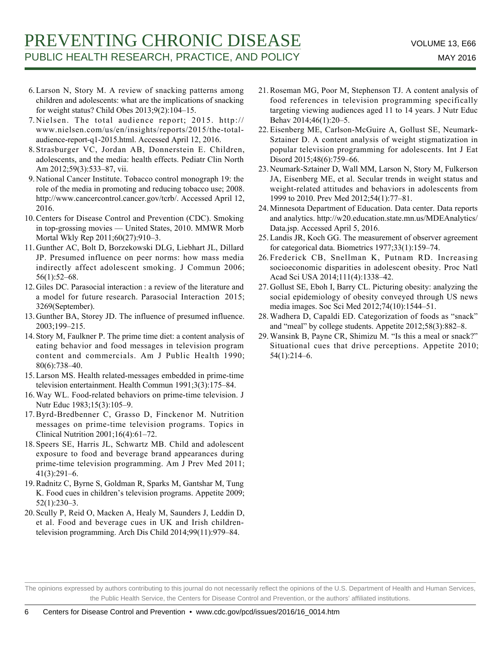- 6. Larson N, Story M. A review of snacking patterns among children and adolescents: what are the implications of snacking for weight status? Child Obes 2013;9(2):104–15.
- 7. Nielsen. The total audience report; 2015. http:// www.nielsen.com/us/en/insights/reports/2015/the-totalaudience-report-q1-2015.html. Accessed April 12, 2016.
- 8. Strasburger VC, Jordan AB, Donnerstein E. Children, adolescents, and the media: health effects. Pediatr Clin North Am 2012;59(3):533–87, vii.
- 9. National Cancer Institute. Tobacco control monograph 19: the role of the media in promoting and reducing tobacco use; 2008. http://www.cancercontrol.cancer.gov/tcrb/. Accessed April 12, 2016.
- 10. Centers for Disease Control and Prevention (CDC). Smoking in top-grossing movies — United States, 2010. MMWR Morb Mortal Wkly Rep 2011;60(27):910–3.
- 11. Gunther AC, Bolt D, Borzekowski DLG, Liebhart JL, Dillard JP. Presumed influence on peer norms: how mass media indirectly affect adolescent smoking. J Commun 2006; 56(1):52–68.
- 12. Giles DC. Parasocial interaction : a review of the literature and a model for future research. Parasocial Interaction  2015; 3269(September).
- 13. Gunther BA, Storey JD. The influence of presumed influence. 2003;199–215.
- 14. Story M, Faulkner P. The prime time diet: a content analysis of eating behavior and food messages in television program content and commercials. Am J Public Health 1990; 80(6):738–40.
- 15. Larson MS. Health related-messages embedded in prime-time television entertainment. Health Commun 1991;3(3):175–84.
- 16. Way WL. Food-related behaviors on prime-time television. J Nutr Educ 1983;15(3):105–9.
- 17. Byrd-Bredbenner C, Grasso D, Finckenor M. Nutrition messages on prime-time television programs. Topics in Clinical Nutrition 2001;16(4):61–72.
- 18. Speers SE, Harris JL, Schwartz MB. Child and adolescent exposure to food and beverage brand appearances during prime-time television programming. Am J Prev Med 2011; 41(3):291–6.
- 19. Radnitz C, Byrne S, Goldman R, Sparks M, Gantshar M, Tung K. Food cues in children's television programs. Appetite 2009; 52(1):230–3.
- 20. Scully P, Reid O, Macken A, Healy M, Saunders J, Leddin D, et al. Food and beverage cues in UK and Irish childrentelevision programming. Arch Dis Child 2014;99(11):979–84.
- 21. Roseman MG, Poor M, Stephenson TJ. A content analysis of food references in television programming specifically targeting viewing audiences aged 11 to 14 years. J Nutr Educ Behav 2014;46(1):20–5.
- 22. Eisenberg ME, Carlson-McGuire A, Gollust SE, Neumark-Sztainer D. A content analysis of weight stigmatization in popular television programming for adolescents. Int J Eat Disord 2015;48(6):759–66.
- 23. Neumark-Sztainer D, Wall MM, Larson N, Story M, Fulkerson JA, Eisenberg ME, et al. Secular trends in weight status and weight-related attitudes and behaviors in adolescents from 1999 to 2010. Prev Med 2012;54(1):77–81.
- 24. Minnesota Department of Education. Data center. Data reports and analytics. http://w20.education.state.mn.us/MDEAnalytics/ Data.jsp. Accessed April 5, 2016.
- 25. Landis JR, Koch GG. The measurement of observer agreement for categorical data. Biometrics 1977;33(1):159–74.
- 26. Frederick CB, Snellman K, Putnam RD. Increasing socioeconomic disparities in adolescent obesity. Proc Natl Acad Sci USA 2014;111(4):1338–42.
- 27. Gollust SE, Eboh I, Barry CL. Picturing obesity: analyzing the social epidemiology of obesity conveyed through US news media images. Soc Sci Med 2012;74(10):1544–51.
- 28. Wadhera D, Capaldi ED. Categorization of foods as "snack" and "meal" by college students. Appetite 2012;58(3):882–8.
- Wansink B, Payne CR, Shimizu M. "Is this a meal or snack?" 29. Situational cues that drive perceptions. Appetite 2010; 54(1):214–6.

The opinions expressed by authors contributing to this journal do not necessarily reflect the opinions of the U.S. Department of Health and Human Services, the Public Health Service, the Centers for Disease Control and Prevention, or the authors' affiliated institutions.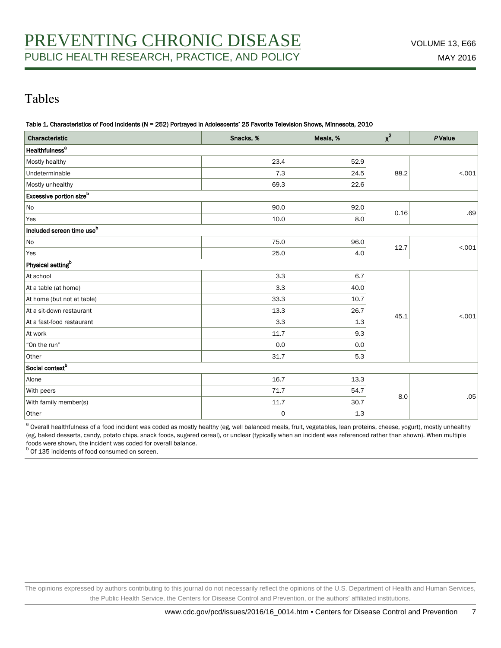## Tables

#### Table 1. Characteristics of Food Incidents (N = 252) Portrayed in Adolescents' 25 Favorite Television Shows, Minnesota, 2010

| Characteristic                        | Snacks, %    | Meals, % | $x^2$ | PValue |  |  |
|---------------------------------------|--------------|----------|-------|--------|--|--|
| <b>Healthfulness<sup>a</sup></b>      |              |          |       |        |  |  |
| Mostly healthy                        | 23.4         | 52.9     | 88.2  | < .001 |  |  |
| Undeterminable                        | 7.3          | 24.5     |       |        |  |  |
| Mostly unhealthy                      | 69.3         | 22.6     |       |        |  |  |
| Excessive portion sizeb               |              |          |       |        |  |  |
| No                                    | 90.0         | 92.0     | 0.16  | .69    |  |  |
| Yes                                   | 10.0         | 8.0      |       |        |  |  |
| Included screen time use <sup>b</sup> |              |          |       |        |  |  |
| No                                    | 75.0         | 96.0     | 12.7  | < .001 |  |  |
| Yes                                   | 25.0         | 4.0      |       |        |  |  |
| Physical setting <sup>b</sup>         |              |          |       |        |  |  |
| At school                             | 3.3          | 6.7      |       | < .001 |  |  |
| At a table (at home)                  | 3.3          | 40.0     | 45.1  |        |  |  |
| At home (but not at table)            | 33.3         | 10.7     |       |        |  |  |
| At a sit-down restaurant              | 13.3         | 26.7     |       |        |  |  |
| At a fast-food restaurant             | 3.3          | 1.3      |       |        |  |  |
| At work                               | 11.7         | 9.3      |       |        |  |  |
| "On the run"                          | 0.0          | 0.0      |       |        |  |  |
| Other                                 | 31.7         | 5.3      |       |        |  |  |
| Social context <sup>b</sup>           |              |          |       |        |  |  |
| Alone                                 | 16.7         | 13.3     | 8.0   | .05    |  |  |
| With peers                            | 71.7         | 54.7     |       |        |  |  |
| With family member(s)                 | 11.7         | 30.7     |       |        |  |  |
| Other                                 | $\mathsf{o}$ | 1.3      |       |        |  |  |

<sup>a</sup> Overall healthfulness of a food incident was coded as mostly healthy (eg, well balanced meals, fruit, vegetables, lean proteins, cheese, yogurt), mostly unhealthy (eg, baked desserts, candy, potato chips, snack foods, sugared cereal), or unclear (typically when an incident was referenced rather than shown). When multiple foods were shown, the incident was coded for overall balance.

<sup>b</sup> Of 135 incidents of food consumed on screen.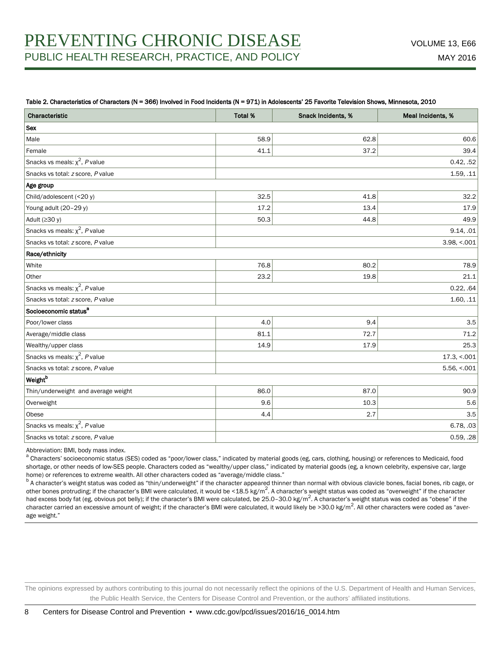#### Table 2. Characteristics of Characters (N = 366) Involved in Food Incidents (N = 971) in Adolescents' 25 Favorite Television Shows, Minnesota, 2010

| Characteristic                      | Total %      | Snack Incidents, % | Meal Incidents, % |  |  |  |  |
|-------------------------------------|--------------|--------------------|-------------------|--|--|--|--|
| <b>Sex</b>                          |              |                    |                   |  |  |  |  |
| Male                                | 58.9         | 62.8               | 60.6              |  |  |  |  |
| Female                              | 41.1         | 37.2               | 39.4              |  |  |  |  |
| Snacks vs meals: $\chi^2$ , P value | 0.42, .52    |                    |                   |  |  |  |  |
| Snacks vs total: z score, P value   | 1.59, .11    |                    |                   |  |  |  |  |
| Age group                           |              |                    |                   |  |  |  |  |
| Child/adolescent (<20 y)            | 32.5         | 41.8               | 32.2              |  |  |  |  |
| Young adult (20-29 y)               | 17.2         | 13.4               | 17.9              |  |  |  |  |
| Adult $(≥30 y)$                     | 50.3         | 44.8               | 49.9              |  |  |  |  |
| Snacks vs meals: $\chi^2$ , P value | 9.14, .01    |                    |                   |  |  |  |  |
| Snacks vs total: z score, P value   | 3.98, < .001 |                    |                   |  |  |  |  |
| Race/ethnicity                      |              |                    |                   |  |  |  |  |
| White                               | 76.8         | 80.2               | 78.9              |  |  |  |  |
| Other                               | 23.2         | 19.8               | 21.1              |  |  |  |  |
| Snacks vs meals: $\chi^2$ , P value | 0.22, .64    |                    |                   |  |  |  |  |
| Snacks vs total: z score, P value   | 1.60, .11    |                    |                   |  |  |  |  |
| Socioeconomic status <sup>a</sup>   |              |                    |                   |  |  |  |  |
| Poor/lower class                    | 4.0          | 9.4                | 3.5               |  |  |  |  |
| Average/middle class                | 81.1         | 72.7               | 71.2              |  |  |  |  |
| Wealthy/upper class                 | 14.9         | 17.9               | 25.3              |  |  |  |  |
| Snacks vs meals: $\chi^2$ , P value | 17.3, < .001 |                    |                   |  |  |  |  |
| Snacks vs total: z score, P value   | 5.56, < .001 |                    |                   |  |  |  |  |
| Weight <sup>b</sup>                 |              |                    |                   |  |  |  |  |
| Thin/underweight and average weight | 86.0         | 87.0               | 90.9              |  |  |  |  |
| Overweight                          | 9.6          | 10.3               | 5.6               |  |  |  |  |
| Obese                               | 4.4          | 2.7                | 3.5               |  |  |  |  |
| Snacks vs meals: $\chi^2$ , P value | 6.78, .03    |                    |                   |  |  |  |  |
| Snacks vs total: z score, P value   |              |                    | 0.59, .28         |  |  |  |  |

Abbreviation: BMI, body mass index.

<sup>a</sup> Characters' socioeconomic status (SES) coded as "poor/lower class," indicated by material goods (eg, cars, clothing, housing) or references to Medicaid, food shortage, or other needs of low-SES people. Characters coded as "wealthy/upper class," indicated by material goods (eg, a known celebrity, expensive car, large home) or references to extreme wealth. All other characters coded as "average/middle class."

<sup>b</sup> A character's weight status was coded as "thin/underweight" if the character appeared thinner than normal with obvious clavicle bones, facial bones, rib cage, or other bones protruding; if the character's BMI were calculated, it would be <18.5 kg/m<sup>2</sup>. A character's weight status was coded as "overweight" if the character had excess body fat (eg, obvious pot belly); if the character's BMI were calculated, be 25.0-30.0 kg/m<sup>2</sup>. A character's weight status was coded as "obese" if the character carried an excessive amount of weight; if the character's BMI were calculated, it would likely be >30.0 kg/m<sup>2</sup>. All other characters were coded as "average weight."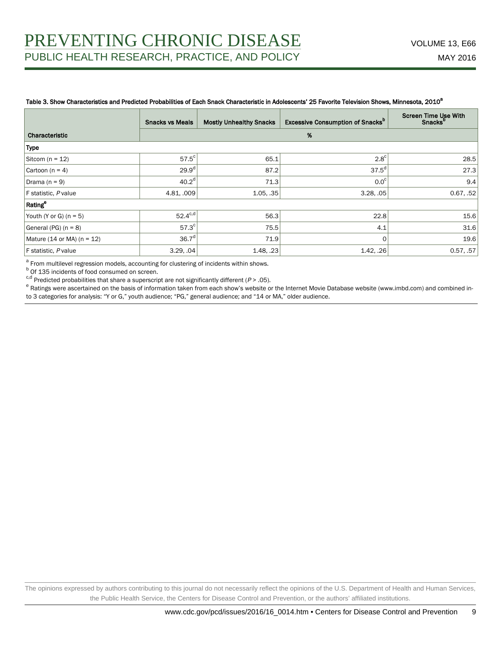#### Table 3. Show Characteristics and Predicted Probabilities of Each Snack Characteristic in Adolescents' 25 Favorite Television Shows, Minnesota, 2010<sup>a</sup>

|                            | <b>Snacks vs Meals</b> | <b>Mostly Unhealthy Snacks</b> | <b>Excessive Consumption of Snacks</b> <sup>b</sup> | <b>Screen Time Use With</b><br><b>Snacks</b> <sup>b</sup> |  |  |  |
|----------------------------|------------------------|--------------------------------|-----------------------------------------------------|-----------------------------------------------------------|--|--|--|
| Characteristic             | %                      |                                |                                                     |                                                           |  |  |  |
| Type                       |                        |                                |                                                     |                                                           |  |  |  |
| Sitcom (n = $12$ )         | $57.5^{\circ}$         | 65.1                           | $2.8^\circ$                                         | 28.5                                                      |  |  |  |
| Cartoon $(n = 4)$          | 29.9 <sup>d</sup>      | 87.2                           | 37.5 <sup>d</sup>                                   | 27.3                                                      |  |  |  |
| Drama $(n = 9)$            | 40.2 <sup>d</sup>      | 71.3                           | 0.0 <sup>c</sup>                                    | 9.4                                                       |  |  |  |
| F statistic, P value       | 4.81, .009             | 1.05, .35                      | 3.28, 05                                            | 0.67, .52                                                 |  |  |  |
| Rating <sup>e</sup>        |                        |                                |                                                     |                                                           |  |  |  |
| Youth (Y or G) ( $n = 5$ ) | $52.4^{c,d}$           | 56.3                           | 22.8                                                | 15.6                                                      |  |  |  |
| General (PG) (n = 8)       | 57.3 <sup>c</sup>      | 75.5                           | 4.1                                                 | 31.6                                                      |  |  |  |
| Mature (14 or MA) (n = 12) | 36.7 <sup>d</sup>      | 71.9                           | 0                                                   | 19.6                                                      |  |  |  |
| F statistic, P value       | 3.29, .04              | 1.48, .23                      | 1.42, .26                                           | 0.57, .57                                                 |  |  |  |

<sup>a</sup> From multilevel regression models, accounting for clustering of incidents within shows.

**b** Of 135 incidents of food consumed on screen.

 $c,d$  Predicted probabilities that share a superscript are not significantly different (P > .05).

e Ratings were ascertained on the basis of information taken from each show's website or the Internet Movie Database website (www.imbd.com) and combined into 3 categories for analysis: "Y or G," youth audience; "PG," general audience; and "14 or MA," older audience.